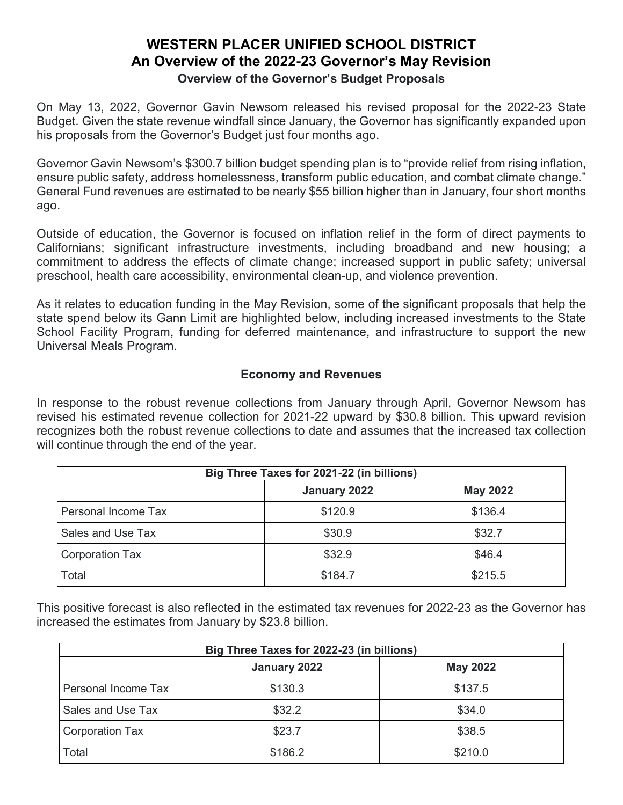## **WESTERN PLACER UNIFIED SCHOOL DISTRICT An Overview of the 2022-23 Governor's May Revision Overview of the Governor's Budget Proposals**

On May 13, 2022, Governor Gavin Newsom released his revised proposal for the 2022-23 State Budget. Given the state revenue windfall since January, the Governor has significantly expanded upon his proposals from the Governor's Budget just four months ago.

Governor Gavin Newsom's \$300.7 billion budget spending plan is to "provide relief from rising inflation, ensure public safety, address homelessness, transform public education, and combat climate change." General Fund revenues are estimated to be nearly \$55 billion higher than in January, four short months ago.

Outside of education, the Governor is focused on inflation relief in the form of direct payments to Californians; significant infrastructure investments, including broadband and new housing; a commitment to address the effects of climate change; increased support in public safety; universal preschool, health care accessibility, environmental clean-up, and violence prevention.

As it relates to education funding in the May Revision, some of the significant proposals that help the state spend below its Gann Limit are highlighted below, including increased investments to the State School Facility Program, funding for deferred maintenance, and infrastructure to support the new Universal Meals Program.

#### **Economy and Revenues**

In response to the robust revenue collections from January through April, Governor Newsom has revised his estimated revenue collection for 2021-22 upward by \$30.8 billion. This upward revision recognizes both the robust revenue collections to date and assumes that the increased tax collection will continue through the end of the year.

| Big Three Taxes for 2021-22 (in billions) |              |                 |  |  |
|-------------------------------------------|--------------|-----------------|--|--|
|                                           | January 2022 | <b>May 2022</b> |  |  |
| Personal Income Tax                       | \$120.9      | \$136.4         |  |  |
| Sales and Use Tax                         | \$30.9       | \$32.7          |  |  |
| <b>Corporation Tax</b>                    | \$32.9       | \$46.4          |  |  |
| Total                                     | \$184.7      | \$215.5         |  |  |

This positive forecast is also reflected in the estimated tax revenues for 2022-23 as the Governor has increased the estimates from January by \$23.8 billion.

| Big Three Taxes for 2022-23 (in billions) |              |                 |  |  |
|-------------------------------------------|--------------|-----------------|--|--|
|                                           | January 2022 | <b>May 2022</b> |  |  |
| Personal Income Tax                       | \$130.3      | \$137.5         |  |  |
| Sales and Use Tax                         | \$32.2       | \$34.0          |  |  |
| <b>Corporation Tax</b>                    | \$23.7       | \$38.5          |  |  |
| Total                                     | \$186.2      | \$210.0         |  |  |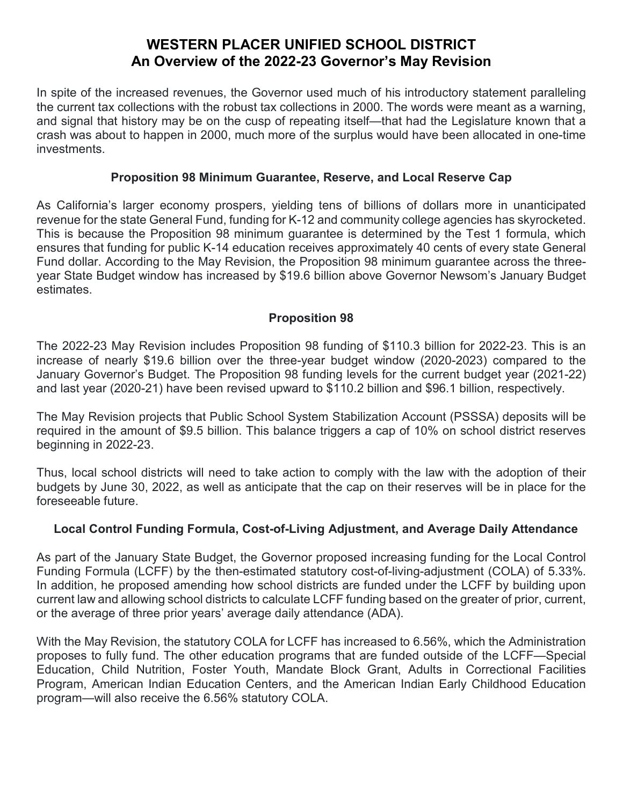In spite of the increased revenues, the Governor used much of his introductory statement paralleling the current tax collections with the robust tax collections in 2000. The words were meant as a warning, and signal that history may be on the cusp of repeating itself—that had the Legislature known that a crash was about to happen in 2000, much more of the surplus would have been allocated in one-time investments.

#### **Proposition 98 Minimum Guarantee, Reserve, and Local Reserve Cap**

As California's larger economy prospers, yielding tens of billions of dollars more in unanticipated revenue for the state General Fund, funding for K-12 and community college agencies has skyrocketed. This is because the Proposition 98 minimum guarantee is determined by the Test 1 formula, which ensures that funding for public K-14 education receives approximately 40 cents of every state General Fund dollar. According to the May Revision, the Proposition 98 minimum guarantee across the threeyear State Budget window has increased by \$19.6 billion above Governor Newsom's January Budget estimates.

### **Proposition 98**

The 2022-23 May Revision includes Proposition 98 funding of \$110.3 billion for 2022-23. This is an increase of nearly \$19.6 billion over the three-year budget window (2020-2023) compared to the January Governor's Budget. The Proposition 98 funding levels for the current budget year (2021-22) and last year (2020-21) have been revised upward to \$110.2 billion and \$96.1 billion, respectively.

The May Revision projects that Public School System Stabilization Account (PSSSA) deposits will be required in the amount of \$9.5 billion. This balance triggers a cap of 10% on school district reserves beginning in 2022-23.

Thus, local school districts will need to take action to comply with the law with the adoption of their budgets by June 30, 2022, as well as anticipate that the cap on their reserves will be in place for the foreseeable future.

### **Local Control Funding Formula, Cost-of-Living Adjustment, and Average Daily Attendance**

As part of the January State Budget, the Governor proposed increasing funding for the Local Control Funding Formula (LCFF) by the then-estimated statutory cost-of-living-adjustment (COLA) of 5.33%. In addition, he proposed amending how school districts are funded under the LCFF by building upon current law and allowing school districts to calculate LCFF funding based on the greater of prior, current, or the average of three prior years' average daily attendance (ADA).

With the May Revision, the statutory COLA for LCFF has increased to 6.56%, which the Administration proposes to fully fund. The other education programs that are funded outside of the LCFF—Special Education, Child Nutrition, Foster Youth, Mandate Block Grant, Adults in Correctional Facilities Program, American Indian Education Centers, and the American Indian Early Childhood Education program—will also receive the 6.56% statutory COLA.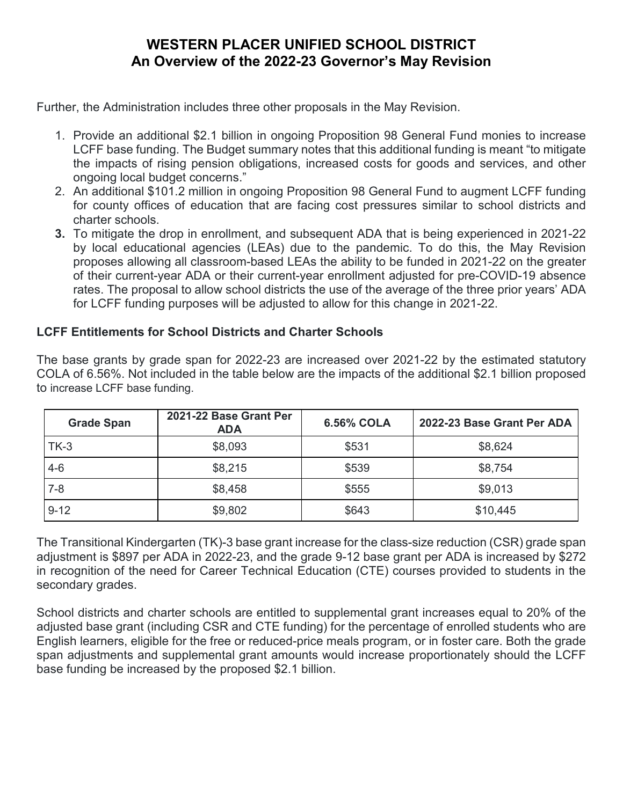Further, the Administration includes three other proposals in the May Revision.

- 1. Provide an additional \$2.1 billion in ongoing Proposition 98 General Fund monies to increase LCFF base funding. The Budget summary notes that this additional funding is meant "to mitigate the impacts of rising pension obligations, increased costs for goods and services, and other ongoing local budget concerns."
- 2. An additional \$101.2 million in ongoing Proposition 98 General Fund to augment LCFF funding for county offices of education that are facing cost pressures similar to school districts and charter schools.
- **3.** To mitigate the drop in enrollment, and subsequent ADA that is being experienced in 2021-22 by local educational agencies (LEAs) due to the pandemic. To do this, the May Revision proposes allowing all classroom-based LEAs the ability to be funded in 2021-22 on the greater of their current-year ADA or their current-year enrollment adjusted for pre-COVID-19 absence rates. The proposal to allow school districts the use of the average of the three prior years' ADA for LCFF funding purposes will be adjusted to allow for this change in 2021-22.

### **LCFF Entitlements for School Districts and Charter Schools**

The base grants by grade span for 2022-23 are increased over 2021-22 by the estimated statutory COLA of 6.56%. Not included in the table below are the impacts of the additional \$2.1 billion proposed to increase LCFF base funding.

| <b>Grade Span</b> | 2021-22 Base Grant Per<br><b>ADA</b> | <b>6.56% COLA</b> | 2022-23 Base Grant Per ADA |
|-------------------|--------------------------------------|-------------------|----------------------------|
| $TK-3$            | \$8,093                              | \$531             | \$8,624                    |
| $4 - 6$           | \$8,215                              | \$539             | \$8,754                    |
| $7 - 8$           | \$8,458                              | \$555             | \$9,013                    |
| $9 - 12$          | \$9,802                              | \$643             | \$10,445                   |

The Transitional Kindergarten (TK)-3 base grant increase for the class-size reduction (CSR) grade span adjustment is \$897 per ADA in 2022-23, and the grade 9-12 base grant per ADA is increased by \$272 in recognition of the need for Career Technical Education (CTE) courses provided to students in the secondary grades.

School districts and charter schools are entitled to supplemental grant increases equal to 20% of the adjusted base grant (including CSR and CTE funding) for the percentage of enrolled students who are English learners, eligible for the free or reduced-price meals program, or in foster care. Both the grade span adjustments and supplemental grant amounts would increase proportionately should the LCFF base funding be increased by the proposed \$2.1 billion.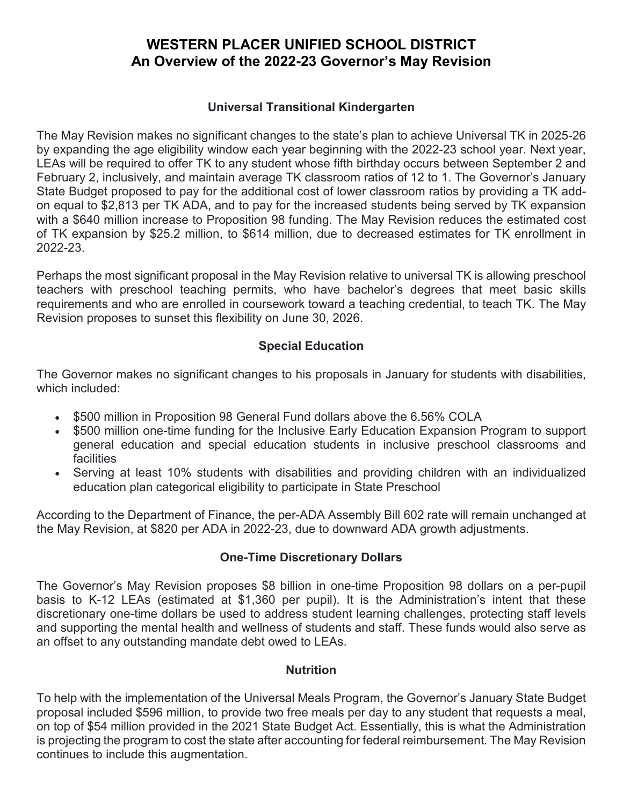#### **Universal Transitional Kindergarten**

The May Revision makes no significant changes to the state's plan to achieve Universal TK in 2025-26 by expanding the age eligibility window each year beginning with the 2022-23 school year. Next year, LEAs will be required to offer TK to any student whose fifth birthday occurs between September 2 and February 2, inclusively, and maintain average TK classroom ratios of 12 to 1. The Governor's January State Budget proposed to pay for the additional cost of lower classroom ratios by providing a TK addon equal to \$2,813 per TK ADA, and to pay for the increased students being served by TK expansion with a \$640 million increase to Proposition 98 funding. The May Revision reduces the estimated cost of TK expansion by \$25.2 million, to \$614 million, due to decreased estimates for TK enrollment in 2022-23.

Perhaps the most significant proposal in the May Revision relative to universal TK is allowing preschool teachers with preschool teaching permits, who have bachelor's degrees that meet basic skills requirements and who are enrolled in coursework toward a teaching credential, to teach TK. The May Revision proposes to sunset this flexibility on June 30, 2026.

### **Special Education**

The Governor makes no significant changes to his proposals in January for students with disabilities, which included:

- \$500 million in Proposition 98 General Fund dollars above the 6.56% COLA
- \$500 million one-time funding for the Inclusive Early Education Expansion Program to support general education and special education students in inclusive preschool classrooms and facilities
- Serving at least 10% students with disabilities and providing children with an individualized education plan categorical eligibility to participate in State Preschool

According to the Department of Finance, the per-ADA Assembly Bill 602 rate will remain unchanged at the May Revision, at \$820 per ADA in 2022-23, due to downward ADA growth adjustments.

### **One-Time Discretionary Dollars**

The Governor's May Revision proposes \$8 billion in one-time Proposition 98 dollars on a per-pupil basis to K-12 LEAs (estimated at \$1,360 per pupil). It is the Administration's intent that these discretionary one-time dollars be used to address student learning challenges, protecting staff levels and supporting the mental health and wellness of students and staff. These funds would also serve as an offset to any outstanding mandate debt owed to LEAs.

### **Nutrition**

To help with the implementation of the Universal Meals Program, the Governor's January State Budget proposal included \$596 million, to provide two free meals per day to any student that requests a meal, on top of \$54 million provided in the 2021 State Budget Act. Essentially, this is what the Administration is projecting the program to cost the state after accounting for federal reimbursement. The May Revision continues to include this augmentation.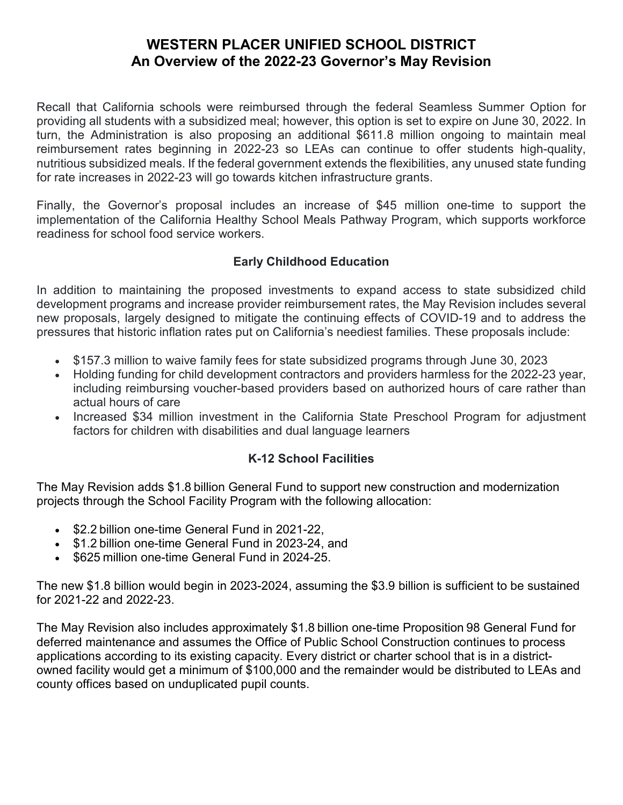Recall that California schools were reimbursed through the federal Seamless Summer Option for providing all students with a subsidized meal; however, this option is set to expire on June 30, 2022. In turn, the Administration is also proposing an additional \$611.8 million ongoing to maintain meal reimbursement rates beginning in 2022-23 so LEAs can continue to offer students high-quality, nutritious subsidized meals. If the federal government extends the flexibilities, any unused state funding for rate increases in 2022-23 will go towards kitchen infrastructure grants.

Finally, the Governor's proposal includes an increase of \$45 million one-time to support the implementation of the California Healthy School Meals Pathway Program, which supports workforce readiness for school food service workers.

## **Early Childhood Education**

In addition to maintaining the proposed investments to expand access to state subsidized child development programs and increase provider reimbursement rates, the May Revision includes several new proposals, largely designed to mitigate the continuing effects of COVID-19 and to address the pressures that historic inflation rates put on California's neediest families. These proposals include:

- \$157.3 million to waive family fees for state subsidized programs through June 30, 2023
- Holding funding for child development contractors and providers harmless for the 2022-23 year, including reimbursing voucher-based providers based on authorized hours of care rather than actual hours of care
- Increased \$34 million investment in the California State Preschool Program for adjustment factors for children with disabilities and dual language learners

## **K-12 School Facilities**

The May Revision adds \$1.8 billion General Fund to support new construction and modernization projects through the School Facility Program with the following allocation:

- \$2.2 billion one-time General Fund in 2021-22,
- \$1.2 billion one-time General Fund in 2023-24, and
- \$625 million one-time General Fund in 2024-25.

The new \$1.8 billion would begin in 2023-2024, assuming the \$3.9 billion is sufficient to be sustained for 2021-22 and 2022-23.

The May Revision also includes approximately \$1.8 billion one-time Proposition 98 General Fund for deferred maintenance and assumes the Office of Public School Construction continues to process applications according to its existing capacity. Every district or charter school that is in a districtowned facility would get a minimum of \$100,000 and the remainder would be distributed to LEAs and county offices based on unduplicated pupil counts.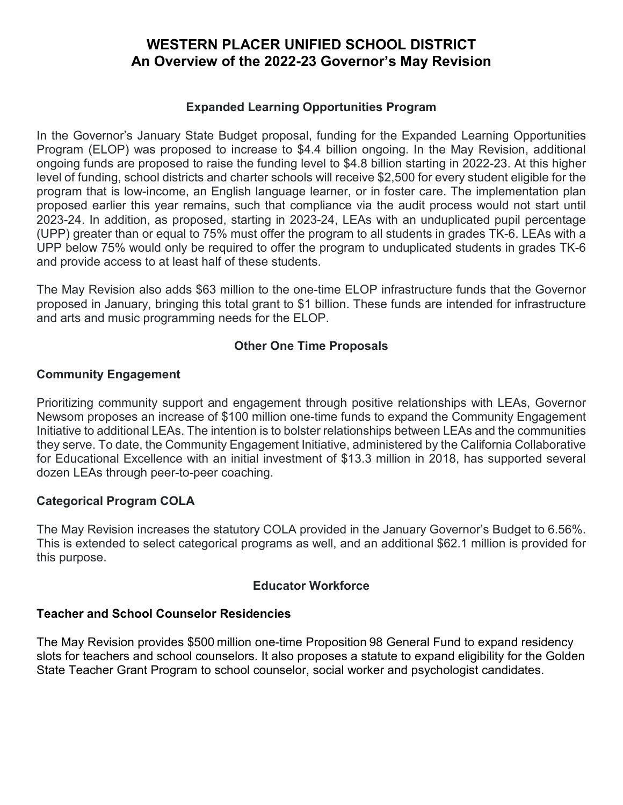#### **Expanded Learning Opportunities Program**

In the Governor's January State Budget proposal, funding for the Expanded Learning Opportunities Program (ELOP) was proposed to increase to \$4.4 billion ongoing. In the May Revision, additional ongoing funds are proposed to raise the funding level to \$4.8 billion starting in 2022-23. At this higher level of funding, school districts and charter schools will receive \$2,500 for every student eligible for the program that is low-income, an English language learner, or in foster care. The implementation plan proposed earlier this year remains, such that compliance via the audit process would not start until 2023-24. In addition, as proposed, starting in 2023-24, LEAs with an unduplicated pupil percentage (UPP) greater than or equal to 75% must offer the program to all students in grades TK-6. LEAs with a UPP below 75% would only be required to offer the program to unduplicated students in grades TK-6 and provide access to at least half of these students.

The May Revision also adds \$63 million to the one-time ELOP infrastructure funds that the Governor proposed in January, bringing this total grant to \$1 billion. These funds are intended for infrastructure and arts and music programming needs for the ELOP.

#### **Other One Time Proposals**

#### **Community Engagement**

Prioritizing community support and engagement through positive relationships with LEAs, Governor Newsom proposes an increase of \$100 million one-time funds to expand the Community Engagement Initiative to additional LEAs. The intention is to bolster relationships between LEAs and the communities they serve. To date, the Community Engagement Initiative, administered by the California Collaborative for Educational Excellence with an initial investment of \$13.3 million in 2018, has supported several dozen LEAs through peer-to-peer coaching.

### **Categorical Program COLA**

The May Revision increases the statutory COLA provided in the January Governor's Budget to 6.56%. This is extended to select categorical programs as well, and an additional \$62.1 million is provided for this purpose.

#### **Educator Workforce**

#### **Teacher and School Counselor Residencies**

The May Revision provides \$500 million one-time Proposition 98 General Fund to expand residency slots for teachers and school counselors. It also proposes a statute to expand eligibility for the Golden State Teacher Grant Program to school counselor, social worker and psychologist candidates.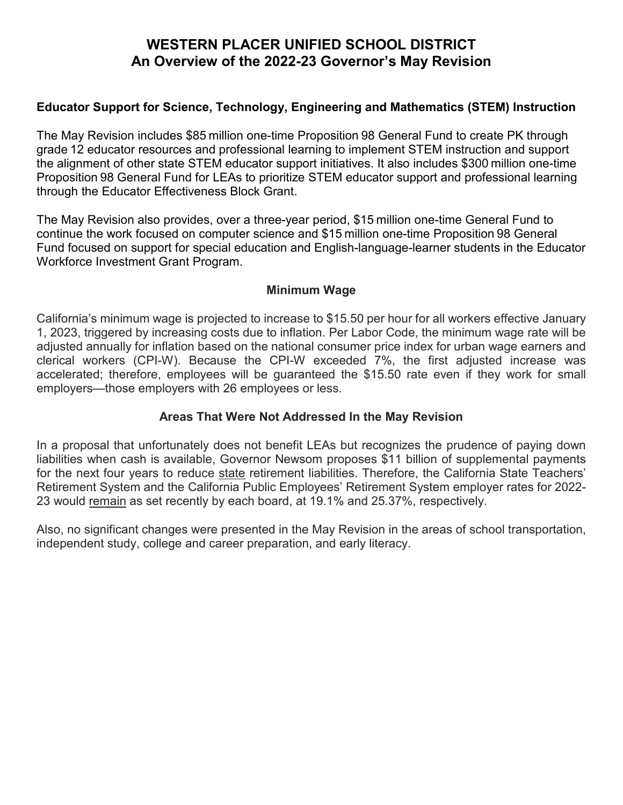#### **Educator Support for Science, Technology, Engineering and Mathematics (STEM) Instruction**

The May Revision includes \$85 million one-time Proposition 98 General Fund to create PK through grade 12 educator resources and professional learning to implement STEM instruction and support the alignment of other state STEM educator support initiatives. It also includes \$300 million one-time Proposition 98 General Fund for LEAs to prioritize STEM educator support and professional learning through the Educator Effectiveness Block Grant.

The May Revision also provides, over a three-year period, \$15 million one-time General Fund to continue the work focused on computer science and \$15 million one-time Proposition 98 General Fund focused on support for special education and English-language-learner students in the Educator Workforce Investment Grant Program.

#### **Minimum Wage**

California's minimum wage is projected to increase to \$15.50 per hour for all workers effective January 1, 2023, triggered by increasing costs due to inflation. Per Labor Code, the minimum wage rate will be adjusted annually for inflation based on the national consumer price index for urban wage earners and clerical workers (CPI-W). Because the CPI-W exceeded 7%, the first adjusted increase was accelerated; therefore, employees will be guaranteed the \$15.50 rate even if they work for small employers—those employers with 26 employees or less.

#### **Areas That Were Not Addressed In the May Revision**

In a proposal that unfortunately does not benefit LEAs but recognizes the prudence of paying down liabilities when cash is available, Governor Newsom proposes \$11 billion of supplemental payments for the next four years to reduce state retirement liabilities. Therefore, the California State Teachers' Retirement System and the California Public Employees' Retirement System employer rates for 2022- 23 would remain as set recently by each board, at 19.1% and 25.37%, respectively.

Also, no significant changes were presented in the May Revision in the areas of school transportation, independent study, college and career preparation, and early literacy.